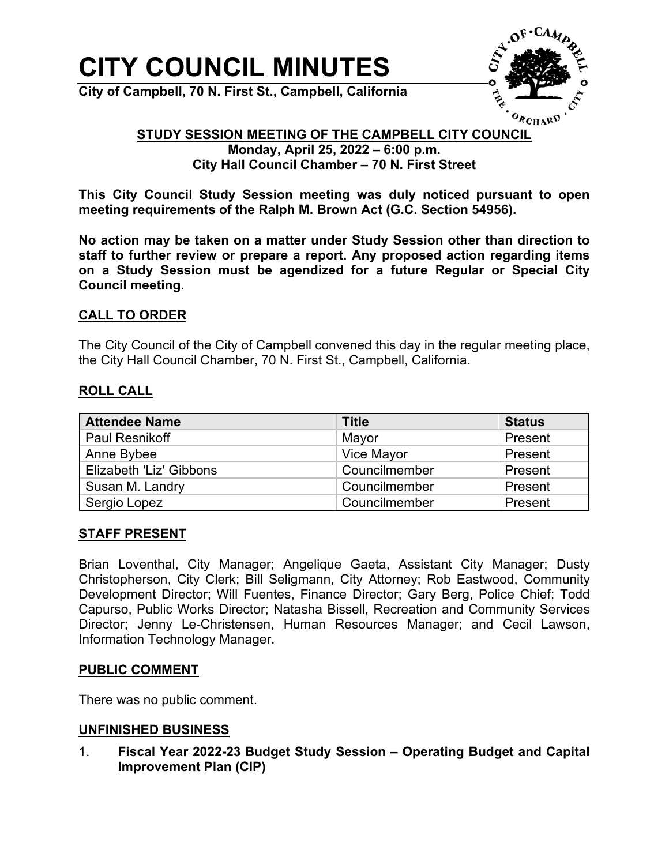# **CITY COUNCIL MINUTES**

**City of Campbell, 70 N. First St., Campbell, California**



# **STUDY SESSION MEETING OF THE CAMPBELL CITY COUNCIL**

**Monday, April 25, 2022 – 6:00 p.m. City Hall Council Chamber – 70 N. First Street**

**This City Council Study Session meeting was duly noticed pursuant to open meeting requirements of the Ralph M. Brown Act (G.C. Section 54956).**

**No action may be taken on a matter under Study Session other than direction to staff to further review or prepare a report. Any proposed action regarding items on a Study Session must be agendized for a future Regular or Special City Council meeting.**

# **CALL TO ORDER**

The City Council of the City of Campbell convened this day in the regular meeting place, the City Hall Council Chamber, 70 N. First St., Campbell, California.

### **ROLL CALL**

| <b>Attendee Name</b>    | <b>Title</b>  | <b>Status</b> |
|-------------------------|---------------|---------------|
| <b>Paul Resnikoff</b>   | Mayor         | Present       |
| Anne Bybee              | Vice Mayor    | Present       |
| Elizabeth 'Liz' Gibbons | Councilmember | Present       |
| Susan M. Landry         | Councilmember | Present       |
| Sergio Lopez            | Councilmember | Present       |

### **STAFF PRESENT**

Brian Loventhal, City Manager; Angelique Gaeta, Assistant City Manager; Dusty Christopherson, City Clerk; Bill Seligmann, City Attorney; Rob Eastwood, Community Development Director; Will Fuentes, Finance Director; Gary Berg, Police Chief; Todd Capurso, Public Works Director; Natasha Bissell, Recreation and Community Services Director; Jenny Le-Christensen, Human Resources Manager; and Cecil Lawson, Information Technology Manager.

### **PUBLIC COMMENT**

There was no public comment.

### **UNFINISHED BUSINESS**

1. **Fiscal Year 2022-23 Budget Study Session – Operating Budget and Capital Improvement Plan (CIP)**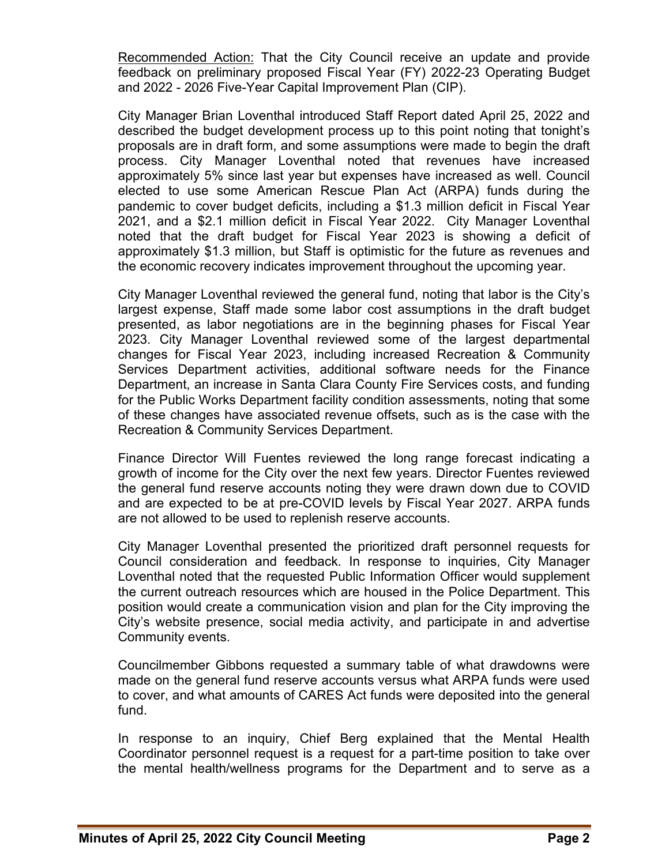Recommended Action: That the City Council receive an update and provide feedback on preliminary proposed Fiscal Year (FY) 2022-23 Operating Budget and 2022 - 2026 Five-Year Capital Improvement Plan (CIP).

City Manager Brian Loventhal introduced Staff Report dated April 25, 2022 and described the budget development process up to this point noting that tonight's proposals are in draft form, and some assumptions were made to begin the draft process. City Manager Loventhal noted that revenues have increased approximately 5% since last year but expenses have increased as well. Council elected to use some American Rescue Plan Act (ARPA) funds during the pandemic to cover budget deficits, including a \$1.3 million deficit in Fiscal Year 2021, and a \$2.1 million deficit in Fiscal Year 2022. City Manager Loventhal noted that the draft budget for Fiscal Year 2023 is showing a deficit of approximately \$1.3 million, but Staff is optimistic for the future as revenues and the economic recovery indicates improvement throughout the upcoming year.

City Manager Loventhal reviewed the general fund, noting that labor is the City's largest expense, Staff made some labor cost assumptions in the draft budget presented, as labor negotiations are in the beginning phases for Fiscal Year 2023. City Manager Loventhal reviewed some of the largest departmental changes for Fiscal Year 2023, including increased Recreation & Community Services Department activities, additional software needs for the Finance Department, an increase in Santa Clara County Fire Services costs, and funding for the Public Works Department facility condition assessments, noting that some of these changes have associated revenue offsets, such as is the case with the Recreation & Community Services Department.

Finance Director Will Fuentes reviewed the long range forecast indicating a growth of income for the City over the next few years. Director Fuentes reviewed the general fund reserve accounts noting they were drawn down due to COVID and are expected to be at pre-COVID levels by Fiscal Year 2027. ARPA funds are not allowed to be used to replenish reserve accounts.

City Manager Loventhal presented the prioritized draft personnel requests for Council consideration and feedback. In response to inquiries, City Manager Loventhal noted that the requested Public Information Officer would supplement the current outreach resources which are housed in the Police Department. This position would create a communication vision and plan for the City improving the City's website presence, social media activity, and participate in and advertise Community events.

Councilmember Gibbons requested a summary table of what drawdowns were made on the general fund reserve accounts versus what ARPA funds were used to cover, and what amounts of CARES Act funds were deposited into the general fund.

In response to an inquiry, Chief Berg explained that the Mental Health Coordinator personnel request is a request for a part-time position to take over the mental health/wellness programs for the Department and to serve as a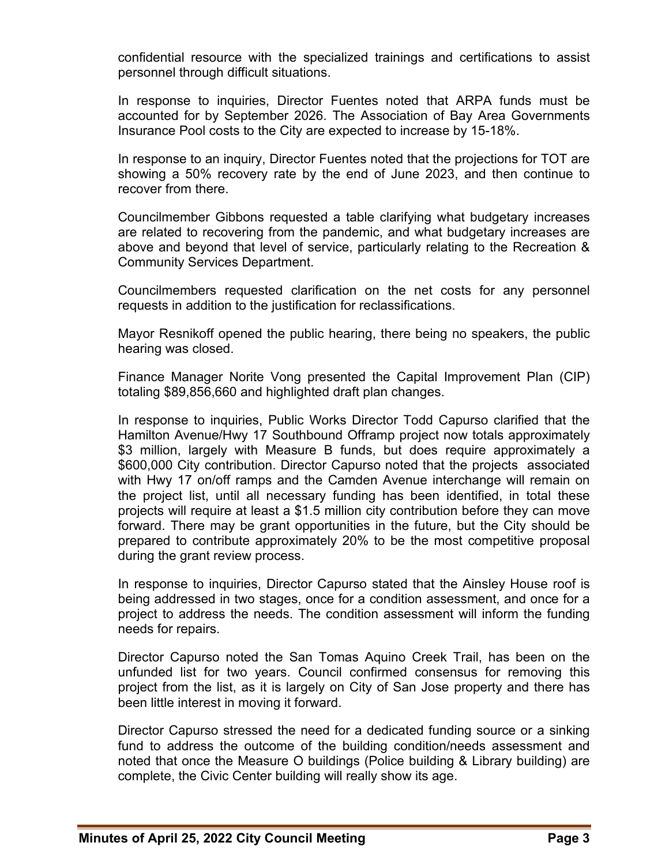confidential resource with the specialized trainings and certifications to assist personnel through difficult situations.

In response to inquiries, Director Fuentes noted that ARPA funds must be accounted for by September 2026. The Association of Bay Area Governments Insurance Pool costs to the City are expected to increase by 15-18%.

In response to an inquiry, Director Fuentes noted that the projections for TOT are showing a 50% recovery rate by the end of June 2023, and then continue to recover from there.

Councilmember Gibbons requested a table clarifying what budgetary increases are related to recovering from the pandemic, and what budgetary increases are above and beyond that level of service, particularly relating to the Recreation & Community Services Department.

Councilmembers requested clarification on the net costs for any personnel requests in addition to the justification for reclassifications.

Mayor Resnikoff opened the public hearing, there being no speakers, the public hearing was closed.

Finance Manager Norite Vong presented the Capital Improvement Plan (CIP) totaling \$89,856,660 and highlighted draft plan changes.

In response to inquiries, Public Works Director Todd Capurso clarified that the Hamilton Avenue/Hwy 17 Southbound Offramp project now totals approximately \$3 million, largely with Measure B funds, but does require approximately a \$600,000 City contribution. Director Capurso noted that the projects associated with Hwy 17 on/off ramps and the Camden Avenue interchange will remain on the project list, until all necessary funding has been identified, in total these projects will require at least a \$1.5 million city contribution before they can move forward. There may be grant opportunities in the future, but the City should be prepared to contribute approximately 20% to be the most competitive proposal during the grant review process.

In response to inquiries, Director Capurso stated that the Ainsley House roof is being addressed in two stages, once for a condition assessment, and once for a project to address the needs. The condition assessment will inform the funding needs for repairs.

Director Capurso noted the San Tomas Aquino Creek Trail, has been on the unfunded list for two years. Council confirmed consensus for removing this project from the list, as it is largely on City of San Jose property and there has been little interest in moving it forward.

Director Capurso stressed the need for a dedicated funding source or a sinking fund to address the outcome of the building condition/needs assessment and noted that once the Measure O buildings (Police building & Library building) are complete, the Civic Center building will really show its age.